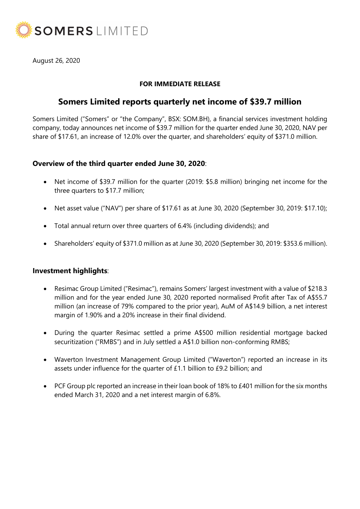

August 26, 2020

## FOR IMMEDIATE RELEASE

# Somers Limited reports quarterly net income of \$39.7 million

Somers Limited ("Somers" or "the Company", BSX: SOM.BH), a financial services investment holding company, today announces net income of \$39.7 million for the quarter ended June 30, 2020, NAV per share of \$17.61, an increase of 12.0% over the quarter, and shareholders' equity of \$371.0 million.

## Overview of the third quarter ended June 30, 2020:

- Net income of \$39.7 million for the quarter (2019: \$5.8 million) bringing net income for the three quarters to \$17.7 million;
- Net asset value ("NAV") per share of \$17.61 as at June 30, 2020 (September 30, 2019: \$17.10);
- Total annual return over three quarters of 6.4% (including dividends); and
- Shareholders' equity of \$371.0 million as at June 30, 2020 (September 30, 2019: \$353.6 million).

## Investment highlights:

- Resimac Group Limited ("Resimac"), remains Somers' largest investment with a value of \$218.3 million and for the year ended June 30, 2020 reported normalised Profit after Tax of A\$55.7 million (an increase of 79% compared to the prior year), AuM of A\$14.9 billion, a net interest margin of 1.90% and a 20% increase in their final dividend.
- During the quarter Resimac settled a prime A\$500 million residential mortgage backed securitization ("RMBS") and in July settled a A\$1.0 billion non-conforming RMBS;
- Waverton Investment Management Group Limited ("Waverton") reported an increase in its assets under influence for the quarter of £1.1 billion to £9.2 billion; and
- PCF Group plc reported an increase in their loan book of 18% to £401 million for the six months ended March 31, 2020 and a net interest margin of 6.8%.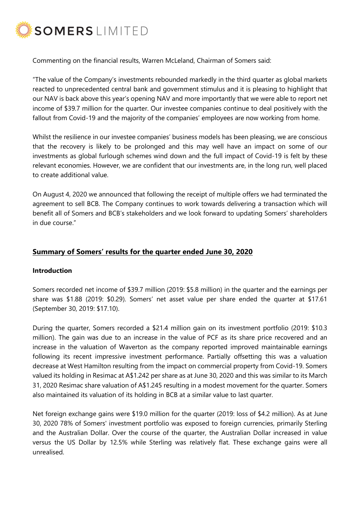

Commenting on the financial results, Warren McLeland, Chairman of Somers said:

"The value of the Company's investments rebounded markedly in the third quarter as global markets reacted to unprecedented central bank and government stimulus and it is pleasing to highlight that our NAV is back above this year's opening NAV and more importantly that we were able to report net income of \$39.7 million for the quarter. Our investee companies continue to deal positively with the fallout from Covid-19 and the majority of the companies' employees are now working from home.

Whilst the resilience in our investee companies' business models has been pleasing, we are conscious that the recovery is likely to be prolonged and this may well have an impact on some of our investments as global furlough schemes wind down and the full impact of Covid-19 is felt by these relevant economies. However, we are confident that our investments are, in the long run, well placed to create additional value.

On August 4, 2020 we announced that following the receipt of multiple offers we had terminated the agreement to sell BCB. The Company continues to work towards delivering a transaction which will benefit all of Somers and BCB's stakeholders and we look forward to updating Somers' shareholders in due course."

# Summary of Somers' results for the quarter ended June 30, 2020

#### Introduction

Somers recorded net income of \$39.7 million (2019: \$5.8 million) in the quarter and the earnings per share was \$1.88 (2019: \$0.29). Somers' net asset value per share ended the quarter at \$17.61 (September 30, 2019: \$17.10).

During the quarter, Somers recorded a \$21.4 million gain on its investment portfolio (2019: \$10.3 million). The gain was due to an increase in the value of PCF as its share price recovered and an increase in the valuation of Waverton as the company reported improved maintainable earnings following its recent impressive investment performance. Partially offsetting this was a valuation decrease at West Hamilton resulting from the impact on commercial property from Covid-19. Somers valued its holding in Resimac at A\$1.242 per share as at June 30, 2020 and this was similar to its March 31, 2020 Resimac share valuation of A\$1.245 resulting in a modest movement for the quarter. Somers also maintained its valuation of its holding in BCB at a similar value to last quarter.

Net foreign exchange gains were \$19.0 million for the quarter (2019: loss of \$4.2 million). As at June 30, 2020 78% of Somers' investment portfolio was exposed to foreign currencies, primarily Sterling and the Australian Dollar. Over the course of the quarter, the Australian Dollar increased in value versus the US Dollar by 12.5% while Sterling was relatively flat. These exchange gains were all unrealised.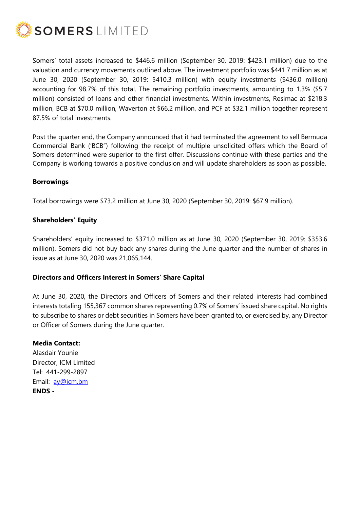

Somers' total assets increased to \$446.6 million (September 30, 2019: \$423.1 million) due to the valuation and currency movements outlined above. The investment portfolio was \$441.7 million as at June 30, 2020 (September 30, 2019: \$410.3 million) with equity investments (\$436.0 million) accounting for 98.7% of this total. The remaining portfolio investments, amounting to 1.3% (\$5.7 million) consisted of loans and other financial investments. Within investments, Resimac at \$218.3 million, BCB at \$70.0 million, Waverton at \$66.2 million, and PCF at \$32.1 million together represent 87.5% of total investments.

Post the quarter end, the Company announced that it had terminated the agreement to sell Bermuda Commercial Bank ('BCB") following the receipt of multiple unsolicited offers which the Board of Somers determined were superior to the first offer. Discussions continue with these parties and the Company is working towards a positive conclusion and will update shareholders as soon as possible.

#### Borrowings

Total borrowings were \$73.2 million at June 30, 2020 (September 30, 2019: \$67.9 million).

### Shareholders' Equity

Shareholders' equity increased to \$371.0 million as at June 30, 2020 (September 30, 2019: \$353.6 million). Somers did not buy back any shares during the June quarter and the number of shares in issue as at June 30, 2020 was 21,065,144.

#### Directors and Officers Interest in Somers' Share Capital

At June 30, 2020, the Directors and Officers of Somers and their related interests had combined interests totaling 155,367 common shares representing 0.7% of Somers' issued share capital. No rights to subscribe to shares or debt securities in Somers have been granted to, or exercised by, any Director or Officer of Somers during the June quarter.

#### Media Contact:

Alasdair Younie Director, ICM Limited Tel: 441-299-2897 Email: ay@icm.bm ENDS -